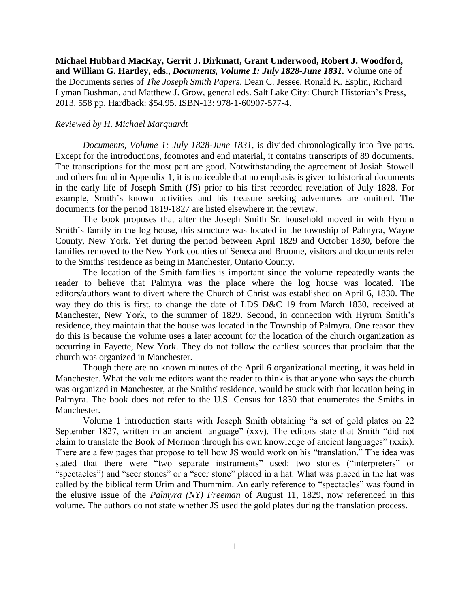**Michael Hubbard MacKay, Gerrit J. Dirkmatt, Grant Underwood, Robert J. Woodford, and William G. Hartley, eds.,** *Documents, Volume 1: July 1828-June 1831.* Volume one of the Documents series of *The Joseph Smith Papers*. Dean C. Jessee, Ronald K. Esplin, Richard Lyman Bushman, and Matthew J. Grow, general eds. Salt Lake City: Church Historian's Press, 2013. 558 pp. Hardback: \$54.95. ISBN-13: 978-1-60907-577-4.

## *Reviewed by H. Michael Marquardt*

*Documents, Volume 1: July 1828-June 1831*, is divided chronologically into five parts. Except for the introductions, footnotes and end material, it contains transcripts of 89 documents. The transcriptions for the most part are good. Notwithstanding the agreement of Josiah Stowell and others found in Appendix 1, it is noticeable that no emphasis is given to historical documents in the early life of Joseph Smith (JS) prior to his first recorded revelation of July 1828. For example, Smith's known activities and his treasure seeking adventures are omitted. The documents for the period 1819-1827 are listed elsewhere in the review.

The book proposes that after the Joseph Smith Sr. household moved in with Hyrum Smith's family in the log house, this structure was located in the township of Palmyra, Wayne County, New York. Yet during the period between April 1829 and October 1830, before the families removed to the New York counties of Seneca and Broome, visitors and documents refer to the Smiths' residence as being in Manchester, Ontario County.

The location of the Smith families is important since the volume repeatedly wants the reader to believe that Palmyra was the place where the log house was located. The editors/authors want to divert where the Church of Christ was established on April 6, 1830. The way they do this is first, to change the date of LDS D&C 19 from March 1830, received at Manchester, New York, to the summer of 1829. Second, in connection with Hyrum Smith's residence, they maintain that the house was located in the Township of Palmyra. One reason they do this is because the volume uses a later account for the location of the church organization as occurring in Fayette, New York. They do not follow the earliest sources that proclaim that the church was organized in Manchester.

Though there are no known minutes of the April 6 organizational meeting, it was held in Manchester. What the volume editors want the reader to think is that anyone who says the church was organized in Manchester, at the Smiths' residence, would be stuck with that location being in Palmyra. The book does not refer to the U.S. Census for 1830 that enumerates the Smiths in Manchester.

Volume 1 introduction starts with Joseph Smith obtaining "a set of gold plates on 22 September 1827, written in an ancient language" (xxv). The editors state that Smith "did not claim to translate the Book of Mormon through his own knowledge of ancient languages" (xxix). There are a few pages that propose to tell how JS would work on his "translation." The idea was stated that there were "two separate instruments" used: two stones ("interpreters" or "spectacles") and "seer stones" or a "seer stone" placed in a hat. What was placed in the hat was called by the biblical term Urim and Thummim. An early reference to "spectacles" was found in the elusive issue of the *Palmyra (NY) Freeman* of August 11, 1829, now referenced in this volume. The authors do not state whether JS used the gold plates during the translation process.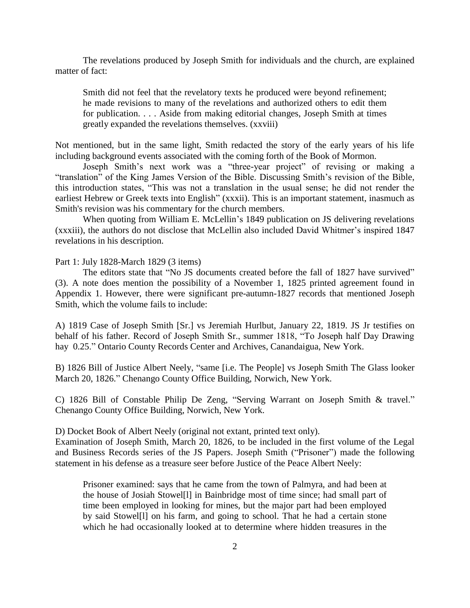The revelations produced by Joseph Smith for individuals and the church, are explained matter of fact:

Smith did not feel that the revelatory texts he produced were beyond refinement; he made revisions to many of the revelations and authorized others to edit them for publication. . . . Aside from making editorial changes, Joseph Smith at times greatly expanded the revelations themselves. (xxviii)

Not mentioned, but in the same light, Smith redacted the story of the early years of his life including background events associated with the coming forth of the Book of Mormon.

Joseph Smith's next work was a "three-year project" of revising or making a "translation" of the King James Version of the Bible. Discussing Smith's revision of the Bible, this introduction states, "This was not a translation in the usual sense; he did not render the earliest Hebrew or Greek texts into English" (xxxii). This is an important statement, inasmuch as Smith's revision was his commentary for the church members.

When quoting from William E. McLellin's 1849 publication on JS delivering revelations (xxxiii), the authors do not disclose that McLellin also included David Whitmer's inspired 1847 revelations in his description.

Part 1: July 1828-March 1829 (3 items)

The editors state that "No JS documents created before the fall of 1827 have survived" (3). A note does mention the possibility of a November 1, 1825 printed agreement found in Appendix 1. However, there were significant pre-autumn-1827 records that mentioned Joseph Smith, which the volume fails to include:

A) 1819 Case of Joseph Smith [Sr.] vs Jeremiah Hurlbut, January 22, 1819. JS Jr testifies on behalf of his father. Record of Joseph Smith Sr., summer 1818, "To Joseph half Day Drawing hay 0.25." Ontario County Records Center and Archives, Canandaigua, New York.

B) 1826 Bill of Justice Albert Neely, "same [i.e. The People] vs Joseph Smith The Glass looker March 20, 1826." Chenango County Office Building, Norwich, New York.

C) 1826 Bill of Constable Philip De Zeng, "Serving Warrant on Joseph Smith & travel." Chenango County Office Building, Norwich, New York.

D) Docket Book of Albert Neely (original not extant, printed text only).

Examination of Joseph Smith, March 20, 1826, to be included in the first volume of the Legal and Business Records series of the JS Papers. Joseph Smith ("Prisoner") made the following statement in his defense as a treasure seer before Justice of the Peace Albert Neely:

Prisoner examined: says that he came from the town of Palmyra, and had been at the house of Josiah Stowel[l] in Bainbridge most of time since; had small part of time been employed in looking for mines, but the major part had been employed by said Stowel[l] on his farm, and going to school. That he had a certain stone which he had occasionally looked at to determine where hidden treasures in the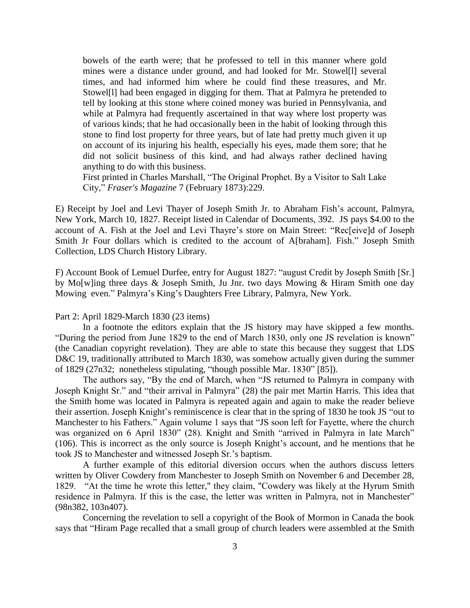bowels of the earth were; that he professed to tell in this manner where gold mines were a distance under ground, and had looked for Mr. Stowel[l] several times, and had informed him where he could find these treasures, and Mr. Stowel[l] had been engaged in digging for them. That at Palmyra he pretended to tell by looking at this stone where coined money was buried in Pennsylvania, and while at Palmyra had frequently ascertained in that way where lost property was of various kinds; that he had occasionally been in the habit of looking through this stone to find lost property for three years, but of late had pretty much given it up on account of its injuring his health, especially his eyes, made them sore; that he did not solicit business of this kind, and had always rather declined having anything to do with this business.

First printed in Charles Marshall, "The Original Prophet. By a Visitor to Salt Lake City," *Fraser's Magazine* 7 (February 1873):229.

E) Receipt by Joel and Levi Thayer of Joseph Smith Jr. to Abraham Fish's account, Palmyra, New York, March 10, 1827. Receipt listed in Calendar of Documents, 392. JS pays \$4.00 to the account of A. Fish at the Joel and Levi Thayre's store on Main Street: "Rec[eive]d of Joseph Smith Jr Four dollars which is credited to the account of A[braham]. Fish." Joseph Smith Collection, LDS Church History Library.

F) Account Book of Lemuel Durfee, entry for August 1827: "august Credit by Joseph Smith [Sr.] by Mo[w]ing three days & Joseph Smith, Ju Jnr. two days Mowing & Hiram Smith one day Mowing even." Palmyra's King's Daughters Free Library, Palmyra, New York.

Part 2: April 1829-March 1830 (23 items)

In a footnote the editors explain that the JS history may have skipped a few months. "During the period from June 1829 to the end of March 1830, only one JS revelation is known" (the Canadian copyright revelation). They are able to state this because they suggest that LDS D&C 19, traditionally attributed to March 1830, was somehow actually given during the summer of 1829 (27n32; nonetheless stipulating, "though possible Mar. 1830" [85]).

The authors say, "By the end of March, when "JS returned to Palmyra in company with Joseph Knight Sr." and "their arrival in Palmyra" (28) the pair met Martin Harris. This idea that the Smith home was located in Palmyra is repeated again and again to make the reader believe their assertion. Joseph Knight's reminiscence is clear that in the spring of 1830 he took JS "out to Manchester to his Fathers." Again volume 1 says that "JS soon left for Fayette, where the church was organized on 6 April 1830" (28). Knight and Smith "arrived in Palmyra in late March" (106). This is incorrect as the only source is Joseph Knight's account, and he mentions that he took JS to Manchester and witnessed Joseph Sr.'s baptism.

A further example of this editorial diversion occurs when the authors discuss letters written by Oliver Cowdery from Manchester to Joseph Smith on November 6 and December 28, 1829. "At the time he wrote this letter," they claim, "Cowdery was likely at the Hyrum Smith residence in Palmyra. If this is the case, the letter was written in Palmyra, not in Manchester" (98n382, 103n407).

Concerning the revelation to sell a copyright of the Book of Mormon in Canada the book says that "Hiram Page recalled that a small group of church leaders were assembled at the Smith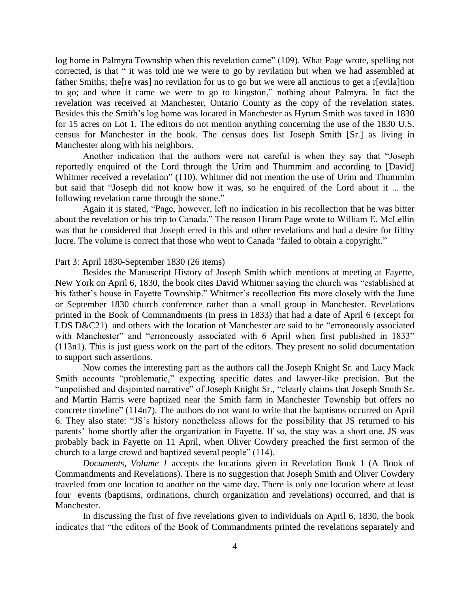log home in Palmyra Township when this revelation came" (109). What Page wrote, spelling not corrected, is that " it was told me we were to go by revilation but when we had assembled at father Smiths; the[re was] no revilation for us to go but we were all anctious to get a r[evila]tion to go; and when it came we were to go to kingston," nothing about Palmyra. In fact the revelation was received at Manchester, Ontario County as the copy of the revelation states. Besides this the Smith's log home was located in Manchester as Hyrum Smith was taxed in 1830 for 15 acres on Lot 1. The editors do not mention anything concerning the use of the 1830 U.S. census for Manchester in the book. The census does list Joseph Smith [Sr.] as living in Manchester along with his neighbors.

Another indication that the authors were not careful is when they say that "Joseph reportedly enquired of the Lord through the Urim and Thummim and according to [David] Whitmer received a revelation" (110). Whitmer did not mention the use of Urim and Thummim but said that "Joseph did not know how it was, so he enquired of the Lord about it ... the following revelation came through the stone."

Again it is stated, "Page, however, left no indication in his recollection that he was bitter about the revelation or his trip to Canada." The reason Hiram Page wrote to William E. McLellin was that he considered that Joseph erred in this and other revelations and had a desire for filthy lucre. The volume is correct that those who went to Canada "failed to obtain a copyright."

## Part 3: April 1830-September 1830 (26 items)

Besides the Manuscript History of Joseph Smith which mentions at meeting at Fayette, New York on April 6, 1830, the book cites David Whitmer saying the church was "established at his father's house in Fayette Township." Whitmer's recollection fits more closely with the June or September 1830 church conference rather than a small group in Manchester. Revelations printed in the Book of Commandments (in press in 1833) that had a date of April 6 (except for LDS D&C21) and others with the location of Manchester are said to be "erroneously associated with Manchester" and "erroneously associated with 6 April when first published in 1833" (113n1). This is just guess work on the part of the editors. They present no solid documentation to support such assertions.

Now comes the interesting part as the authors call the Joseph Knight Sr. and Lucy Mack Smith accounts "problematic," expecting specific dates and lawyer-like precision. But the "unpolished and disjointed narrative" of Joseph Knight Sr., "clearly claims that Joseph Smith Sr. and Martin Harris were baptized near the Smith farm in Manchester Township but offers no concrete timeline" (114n7). The authors do not want to write that the baptisms occurred on April 6. They also state: "JS's history nonetheless allows for the possibility that JS returned to his parents' home shortly after the organization in Fayette. If so, the stay was a short one. JS was probably back in Fayette on 11 April, when Oliver Cowdery preached the first sermon of the church to a large crowd and baptized several people" (114).

*Documents, Volume 1* accepts the locations given in Revelation Book 1 (A Book of Commandments and Revelations). There is no suggestion that Joseph Smith and Oliver Cowdery traveled from one location to another on the same day. There is only one location where at least four events (baptisms, ordinations, church organization and revelations) occurred, and that is Manchester.

In discussing the first of five revelations given to individuals on April 6, 1830, the book indicates that "the editors of the Book of Commandments printed the revelations separately and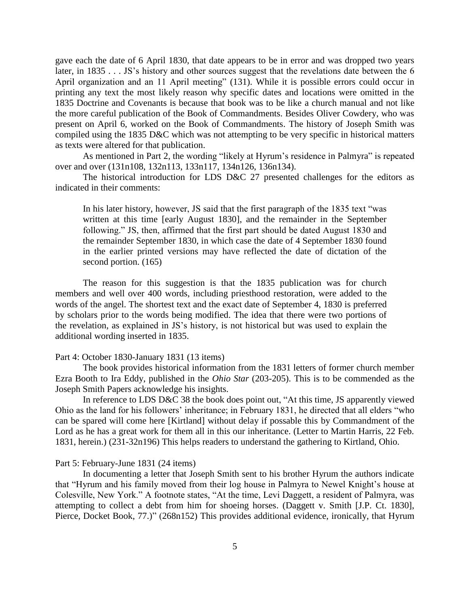gave each the date of 6 April 1830, that date appears to be in error and was dropped two years later, in 1835 . . . JS's history and other sources suggest that the revelations date between the 6 April organization and an 11 April meeting" (131). While it is possible errors could occur in printing any text the most likely reason why specific dates and locations were omitted in the 1835 Doctrine and Covenants is because that book was to be like a church manual and not like the more careful publication of the Book of Commandments. Besides Oliver Cowdery, who was present on April 6, worked on the Book of Commandments. The history of Joseph Smith was compiled using the 1835 D&C which was not attempting to be very specific in historical matters as texts were altered for that publication.

As mentioned in Part 2, the wording "likely at Hyrum's residence in Palmyra" is repeated over and over (131n108, 132n113, 133n117, 134n126, 136n134).

The historical introduction for LDS D&C 27 presented challenges for the editors as indicated in their comments:

In his later history, however, JS said that the first paragraph of the 1835 text "was written at this time [early August 1830], and the remainder in the September following." JS, then, affirmed that the first part should be dated August 1830 and the remainder September 1830, in which case the date of 4 September 1830 found in the earlier printed versions may have reflected the date of dictation of the second portion. (165)

The reason for this suggestion is that the 1835 publication was for church members and well over 400 words, including priesthood restoration, were added to the words of the angel. The shortest text and the exact date of September 4, 1830 is preferred by scholars prior to the words being modified. The idea that there were two portions of the revelation, as explained in JS's history, is not historical but was used to explain the additional wording inserted in 1835.

## Part 4: October 1830-January 1831 (13 items)

The book provides historical information from the 1831 letters of former church member Ezra Booth to Ira Eddy, published in the *Ohio Star* (203-205). This is to be commended as the Joseph Smith Papers acknowledge his insights.

In reference to LDS D&C 38 the book does point out, "At this time, JS apparently viewed Ohio as the land for his followers' inheritance; in February 1831, he directed that all elders "who can be spared will come here [Kirtland] without delay if possable this by Commandment of the Lord as he has a great work for them all in this our inheritance. (Letter to Martin Harris, 22 Feb. 1831, herein.) (231-32n196) This helps readers to understand the gathering to Kirtland, Ohio.

## Part 5: February-June 1831 (24 items)

In documenting a letter that Joseph Smith sent to his brother Hyrum the authors indicate that "Hyrum and his family moved from their log house in Palmyra to Newel Knight's house at Colesville, New York." A footnote states, "At the time, Levi Daggett, a resident of Palmyra, was attempting to collect a debt from him for shoeing horses. (Daggett v. Smith [J.P. Ct. 1830], Pierce, Docket Book, 77.)" (268n152) This provides additional evidence, ironically, that Hyrum